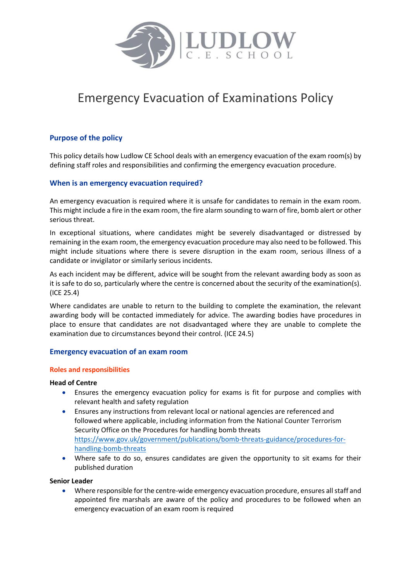

# Emergency Evacuation of Examinations Policy

## **Purpose of the policy**

This policy details how Ludlow CE School deals with an emergency evacuation of the exam room(s) by defining staff roles and responsibilities and confirming the emergency evacuation procedure.

#### **When is an emergency evacuation required?**

An emergency evacuation is required where it is unsafe for candidates to remain in the exam room. This might include a fire in the exam room, the fire alarm sounding to warn of fire, bomb alert or other serious threat.

In exceptional situations, where candidates might be severely disadvantaged or distressed by remaining in the exam room, the emergency evacuation procedure may also need to be followed. This might include situations where there is severe disruption in the exam room, serious illness of a candidate or invigilator or similarly serious incidents.

As each incident may be different, advice will be sought from the relevant awarding body as soon as it is safe to do so, particularly where the centre is concerned about the security of the examination(s). (ICE 25.4)

Where candidates are unable to return to the building to complete the examination, the relevant awarding body will be contacted immediately for advice. The awarding bodies have procedures in place to ensure that candidates are not disadvantaged where they are unable to complete the examination due to circumstances beyond their control. (ICE 24.5)

#### **Emergency evacuation of an exam room**

#### **Roles and responsibilities**

#### **Head of Centre**

- Ensures the emergency evacuation policy for exams is fit for purpose and complies with relevant health and safety regulation
- Ensures any instructions from relevant local or national agencies are referenced and followed where applicable, including information from the National Counter Terrorism Security Office on the Procedures for handling bomb threats [https://www.gov.uk/government/publications/bomb-threats-guidance/procedures-for](https://www.gov.uk/government/publications/bomb-threats-guidance/procedures-for-handling-bomb-threats)[handling-bomb-threats](https://www.gov.uk/government/publications/bomb-threats-guidance/procedures-for-handling-bomb-threats)
- Where safe to do so, ensures candidates are given the opportunity to sit exams for their published duration

#### **Senior Leader**

 Where responsible for the centre-wide emergency evacuation procedure, ensures all staff and appointed fire marshals are aware of the policy and procedures to be followed when an emergency evacuation of an exam room is required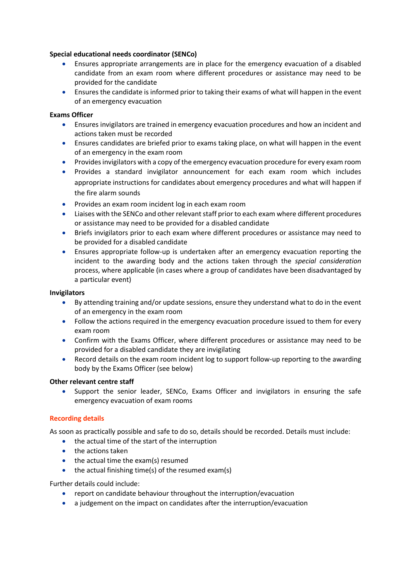#### **Special educational needs coordinator (SENCo)**

- Ensures appropriate arrangements are in place for the emergency evacuation of a disabled candidate from an exam room where different procedures or assistance may need to be provided for the candidate
- Ensures the candidate is informed prior to taking their exams of what will happen in the event of an emergency evacuation

#### **Exams Officer**

- Ensures invigilators are trained in emergency evacuation procedures and how an incident and actions taken must be recorded
- Ensures candidates are briefed prior to exams taking place, on what will happen in the event of an emergency in the exam room
- Provides invigilators with a copy of the emergency evacuation procedure for every exam room
- Provides a standard invigilator announcement for each exam room which includes appropriate instructions for candidates about emergency procedures and what will happen if the fire alarm sounds
- **•** Provides an exam room incident log in each exam room
- Liaises with the SENCo and other relevant staff prior to each exam where different procedures or assistance may need to be provided for a disabled candidate
- Briefs invigilators prior to each exam where different procedures or assistance may need to be provided for a disabled candidate
- Ensures appropriate follow-up is undertaken after an emergency evacuation reporting the incident to the awarding body and the actions taken through the *special consideration* process, where applicable (in cases where a group of candidates have been disadvantaged by a particular event)

#### **Invigilators**

- By attending training and/or update sessions, ensure they understand what to do in the event of an emergency in the exam room
- Follow the actions required in the emergency evacuation procedure issued to them for every exam room
- Confirm with the Exams Officer, where different procedures or assistance may need to be provided for a disabled candidate they are invigilating
- Record details on the exam room incident log to support follow-up reporting to the awarding body by the Exams Officer (see below)

### **Other relevant centre staff**

 Support the senior leader, SENCo, Exams Officer and invigilators in ensuring the safe emergency evacuation of exam rooms

### **Recording details**

As soon as practically possible and safe to do so, details should be recorded. Details must include:

- the actual time of the start of the interruption
- **the actions taken**
- $\bullet$  the actual time the exam(s) resumed
- $\bullet$  the actual finishing time(s) of the resumed exam(s)

Further details could include:

- report on candidate behaviour throughout the interruption/evacuation
- a judgement on the impact on candidates after the interruption/evacuation